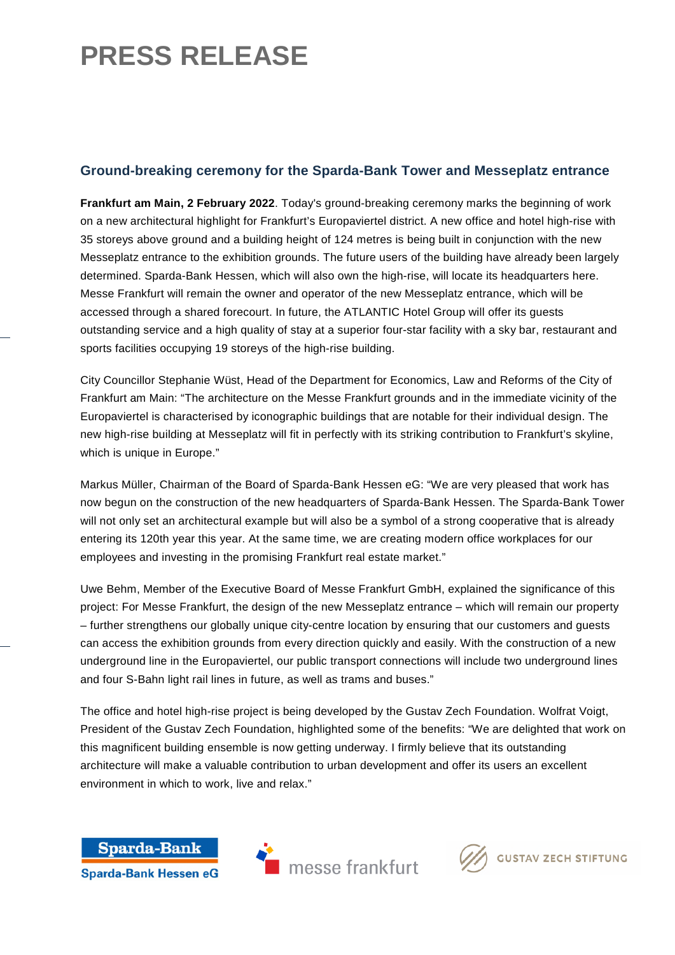## **PRESS RELEASE**

### **Ground-breaking ceremony for the Sparda-Bank Tower and Messeplatz entrance**

**Frankfurt am Main, 2 February 2022**. Today's ground-breaking ceremony marks the beginning of work on a new architectural highlight for Frankfurt's Europaviertel district. A new office and hotel high-rise with 35 storeys above ground and a building height of 124 metres is being built in conjunction with the new Messeplatz entrance to the exhibition grounds. The future users of the building have already been largely determined. Sparda-Bank Hessen, which will also own the high-rise, will locate its headquarters here. Messe Frankfurt will remain the owner and operator of the new Messeplatz entrance, which will be accessed through a shared forecourt. In future, the ATLANTIC Hotel Group will offer its guests outstanding service and a high quality of stay at a superior four-star facility with a sky bar, restaurant and sports facilities occupying 19 storeys of the high-rise building.

City Councillor Stephanie Wüst, Head of the Department for Economics, Law and Reforms of the City of Frankfurt am Main: "The architecture on the Messe Frankfurt grounds and in the immediate vicinity of the Europaviertel is characterised by iconographic buildings that are notable for their individual design. The new high-rise building at Messeplatz will fit in perfectly with its striking contribution to Frankfurt's skyline, which is unique in Europe."

Markus Müller, Chairman of the Board of Sparda-Bank Hessen eG: "We are very pleased that work has now begun on the construction of the new headquarters of Sparda-Bank Hessen. The Sparda-Bank Tower will not only set an architectural example but will also be a symbol of a strong cooperative that is already entering its 120th year this year. At the same time, we are creating modern office workplaces for our employees and investing in the promising Frankfurt real estate market."

Uwe Behm, Member of the Executive Board of Messe Frankfurt GmbH, explained the significance of this project: For Messe Frankfurt, the design of the new Messeplatz entrance – which will remain our property – further strengthens our globally unique city-centre location by ensuring that our customers and guests can access the exhibition grounds from every direction quickly and easily. With the construction of a new underground line in the Europaviertel, our public transport connections will include two underground lines and four S-Bahn light rail lines in future, as well as trams and buses."

The office and hotel high-rise project is being developed by the Gustav Zech Foundation. Wolfrat Voigt, President of the Gustav Zech Foundation, highlighted some of the benefits: "We are delighted that work on this magnificent building ensemble is now getting underway. I firmly believe that its outstanding architecture will make a valuable contribution to urban development and offer its users an excellent environment in which to work, live and relax."





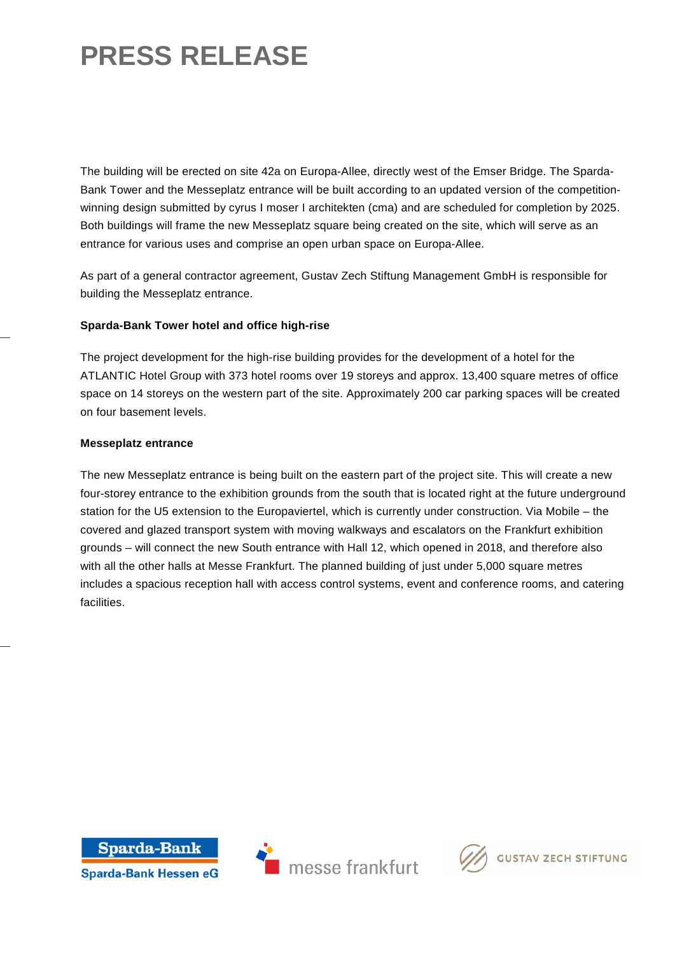# **PRESS RELEASE**

The building will be erected on site 42a on Europa-Allee, directly west of the Emser Bridge. The Sparda-Bank Tower and the Messeplatz entrance will be built according to an updated version of the competitionwinning design submitted by cyrus I moser I architekten (cma) and are scheduled for completion by 2025. Both buildings will frame the new Messeplatz square being created on the site, which will serve as an entrance for various uses and comprise an open urban space on Europa-Allee.

As part of a general contractor agreement, Gustav Zech Stiftung Management GmbH is responsible for building the Messeplatz entrance.

#### **Sparda-Bank Tower hotel and office high-rise**

The project development for the high-rise building provides for the development of a hotel for the ATLANTIC Hotel Group with 373 hotel rooms over 19 storeys and approx. 13,400 square metres of office space on 14 storeys on the western part of the site. Approximately 200 car parking spaces will be created on four basement levels.

#### **Messeplatz entrance**

The new Messeplatz entrance is being built on the eastern part of the project site. This will create a new four-storey entrance to the exhibition grounds from the south that is located right at the future underground station for the U5 extension to the Europaviertel, which is currently under construction. Via Mobile – the covered and glazed transport system with moving walkways and escalators on the Frankfurt exhibition grounds – will connect the new South entrance with Hall 12, which opened in 2018, and therefore also with all the other halls at Messe Frankfurt. The planned building of just under 5,000 square metres includes a spacious reception hall with access control systems, event and conference rooms, and catering facilities.